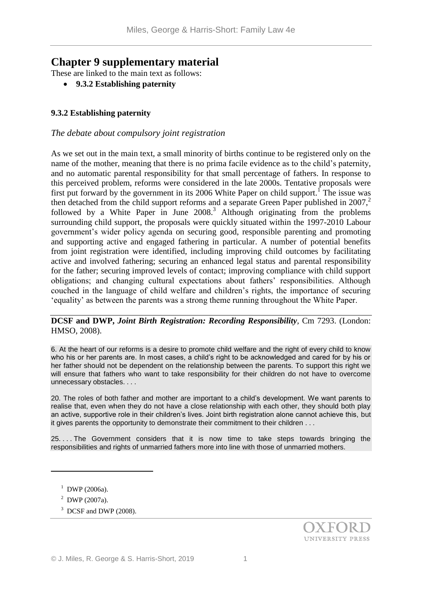# **Chapter 9 supplementary material**

These are linked to the main text as follows:

**9.3.2 Establishing paternity** 

## **9.3.2 Establishing paternity**

### *The debate about compulsory joint registration*

As we set out in the main text, a small minority of births continue to be registered only on the name of the mother, meaning that there is no prima facile evidence as to the child's paternity, and no automatic parental responsibility for that small percentage of fathers. In response to this perceived problem, reforms were considered in the late 2000s. Tentative proposals were first put forward by the government in its 2006 White Paper on child support.<sup>1</sup> The issue was then detached from the child support reforms and a separate Green Paper published in  $2007$ ,<sup>2</sup> followed by a White Paper in June  $2008<sup>3</sup>$  Although originating from the problems surrounding child support, the proposals were quickly situated within the 1997-2010 Labour government's wider policy agenda on securing good, responsible parenting and promoting and supporting active and engaged fathering in particular. A number of potential benefits from joint registration were identified, including improving child outcomes by facilitating active and involved fathering; securing an enhanced legal status and parental responsibility for the father; securing improved levels of contact; improving compliance with child support obligations; and changing cultural expectations about fathers' responsibilities. Although couched in the language of child welfare and children's rights, the importance of securing 'equality' as between the parents was a strong theme running throughout the White Paper.

**DCSF and DWP,** *Joint Birth Registration: Recording Responsibility,* Cm 7293. (London: HMSO, 2008).

6. At the heart of our reforms is a desire to promote child welfare and the right of every child to know who his or her parents are. In most cases, a child's right to be acknowledged and cared for by his or her father should not be dependent on the relationship between the parents. To support this right we will ensure that fathers who want to take responsibility for their children do not have to overcome unnecessary obstacles. . . .

20. The roles of both father and mother are important to a child's development. We want parents to realise that, even when they do not have a close relationship with each other, they should both play an active, supportive role in their children's lives. Joint birth registration alone cannot achieve this, but it gives parents the opportunity to demonstrate their commitment to their children . . .

25. . . . The Government considers that it is now time to take steps towards bringing the responsibilities and rights of unmarried fathers more into line with those of unmarried mothers.

1

 $3$  DCSF and DWP (2008).

 $1^{1}$  DWP (2006a).

 $2$  DWP (2007a).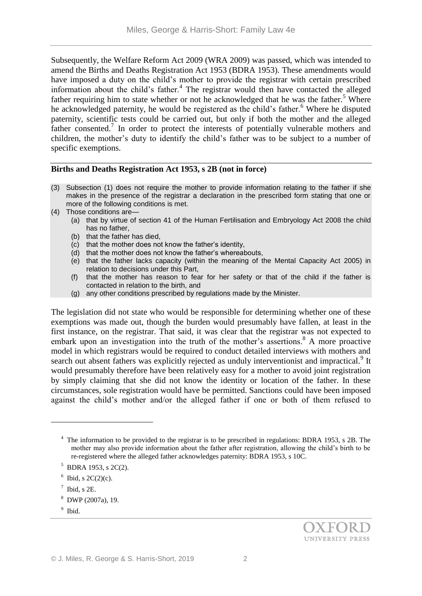Subsequently, the Welfare Reform Act 2009 (WRA 2009) was passed, which was intended to amend the Births and Deaths Registration Act 1953 (BDRA 1953). These amendments would have imposed a duty on the child's mother to provide the registrar with certain prescribed information about the child's father.<sup>4</sup> The registrar would then have contacted the alleged father requiring him to state whether or not he acknowledged that he was the father.<sup>5</sup> Where he acknowledged paternity, he would be registered as the child's father.<sup>6</sup> Where he disputed paternity, scientific tests could be carried out, but only if both the mother and the alleged father consented.<sup>7</sup> In order to protect the interests of potentially vulnerable mothers and children, the mother's duty to identify the child's father was to be subject to a number of specific exemptions.

#### **Births and Deaths Registration Act 1953, s 2B (not in force)**

- (3) Subsection (1) does not require the mother to provide information relating to the father if she makes in the presence of the registrar a declaration in the prescribed form stating that one or more of the following conditions is met.
- (4) Those conditions are—
	- (a) that by virtue of section 41 of the Human Fertilisation and Embryology Act 2008 the child has no father,
	- (b) that the father has died,
	- (c) that the mother does not know the father's identity,
	- (d) that the mother does not know the father's whereabouts,
	- (e) that the father lacks capacity (within the meaning of the Mental Capacity Act 2005) in relation to decisions under this Part,
	- (f) that the mother has reason to fear for her safety or that of the child if the father is contacted in relation to the birth, and
	- (g) any other conditions prescribed by regulations made by the Minister.

The legislation did not state who would be responsible for determining whether one of these exemptions was made out, though the burden would presumably have fallen, at least in the first instance, on the registrar. That said, it was clear that the registrar was not expected to embark upon an investigation into the truth of the mother's assertions.<sup>8</sup> A more proactive model in which registrars would be required to conduct detailed interviews with mothers and search out absent fathers was explicitly rejected as unduly interventionist and impractical.<sup>9</sup> It would presumably therefore have been relatively easy for a mother to avoid joint registration by simply claiming that she did not know the identity or location of the father. In these circumstances, sole registration would have be permitted. Sanctions could have been imposed against the child's mother and/or the alleged father if one or both of them refused to

- $<sup>7</sup>$  Ibid, s 2E.</sup>
- <sup>8</sup> DWP (2007a), 19.
- <sup>9</sup> Ibid.

<u>.</u>

<sup>&</sup>lt;sup>4</sup> The information to be provided to the registrar is to be prescribed in regulations: BDRA 1953, s 2B. The mother may also provide information about the father after registration, allowing the child's birth to be re-registered where the alleged father acknowledges paternity: BDRA 1953, s 10C.

 $5$  BDRA 1953, s 2C(2).

 $6$  Ibid, s 2C(2)(c).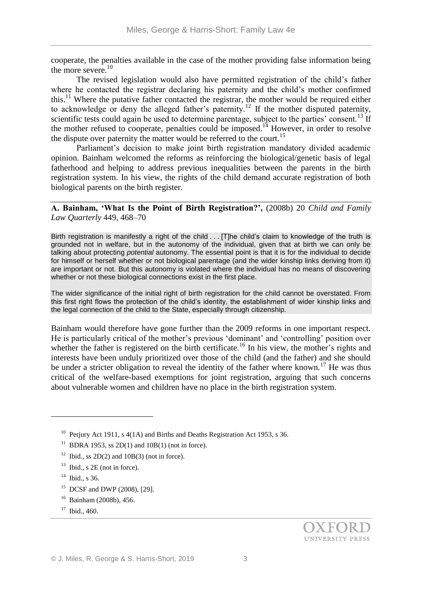cooperate, the penalties available in the case of the mother providing false information being the more severe.<sup>10</sup>

The revised legislation would also have permitted registration of the child's father where he contacted the registrar declaring his paternity and the child's mother confirmed this.<sup>11</sup> Where the putative father contacted the registrar, the mother would be required either to acknowledge or deny the alleged father's paternity.<sup>12</sup> If the mother disputed paternity, scientific tests could again be used to determine parentage, subject to the parties' consent.<sup>13</sup> If the mother refused to cooperate, penalties could be imposed.<sup>14</sup> However, in order to resolve the dispute over paternity the matter would be referred to the court.<sup>15</sup>

Parliament's decision to make joint birth registration mandatory divided academic opinion. Bainham welcomed the reforms as reinforcing the biological/genetic basis of legal fatherhood and helping to address previous inequalities between the parents in the birth registration system. In his view, the rights of the child demand accurate registration of both biological parents on the birth register.

**A. Bainham, 'What Is the Point of Birth Registration?',** (2008b) 20 *Child and Family Law Quarterly* 449, 468–70

Birth registration is manifestly a right of the child . . . [T]he child's claim to knowledge of the truth is grounded not in welfare, but in the autonomy of the individual, given that at birth we can only be talking about protecting *potential* autonomy. The essential point is that it is for the individual to decide for himself or herself whether or not biological parentage (and the wider kinship links deriving from it) are important or not. But this autonomy is violated where the individual has no means of discovering whether or not these biological connections exist in the first place.

The wider significance of the initial right of birth registration for the child cannot be overstated. From this first right flows the protection of the child's identity, the establishment of wider kinship links and the legal connection of the child to the State, especially through citizenship.

Bainham would therefore have gone further than the 2009 reforms in one important respect. He is particularly critical of the mother's previous 'dominant' and 'controlling' position over whether the father is registered on the birth certificate.<sup>16</sup> In his view, the mother's rights and interests have been unduly prioritized over those of the child (and the father) and she should be under a stricter obligation to reveal the identity of the father where known.<sup>17</sup> He was thus critical of the welfare-based exemptions for joint registration, arguing that such concerns about vulnerable women and children have no place in the birth registration system.

- $13$  Ibid., s 2E (not in force).
- $14$  Ibid., s 36.

<u>.</u>

- <sup>15</sup> DCSF and DWP (2008), [29].
- <sup>16</sup> Bainham (2008b), 456.
- $17$  Ibid., 460.

<sup>&</sup>lt;sup>10</sup> Perjury Act 1911, s 4(1A) and Births and Deaths Registration Act 1953, s 36.

<sup>&</sup>lt;sup>11</sup> BDRA 1953, ss 2D(1) and  $10B(1)$  (not in force).

<sup>&</sup>lt;sup>12</sup> Ibid., ss  $2D(2)$  and  $10B(3)$  (not in force).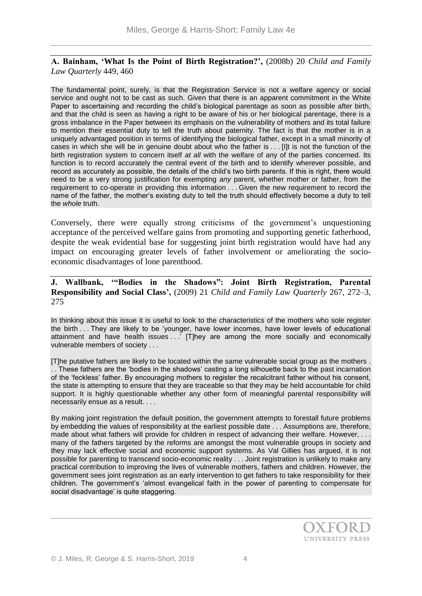## **A. Bainham, 'What Is the Point of Birth Registration?',** (2008b) 20 *Child and Family Law Quarterly* 449, 460

The fundamental point, surely, is that the Registration Service is not a welfare agency or social service and ought not to be cast as such. Given that there is an apparent commitment in the White Paper to ascertaining and recording the child's biological parentage as soon as possible after birth, and that the child is seen as having a right to be aware of his or her biological parentage, there is a gross imbalance in the Paper between its emphasis on the vulnerability of mothers and its total failure to mention their essential duty to tell the truth about paternity. The fact is that the mother is in a uniquely advantaged position in terms of identifying the biological father, except in a small minority of cases in which she will be in genuine doubt about who the father is . . . [I]t is not the function of the birth registration system to concern itself *at all* with the welfare of any of the parties concerned. Its function is to record accurately the central event of the birth and to identify wherever possible, and record as accurately as possible, the details of the child's two birth parents. If this is right, there would need to be a very strong justification for exempting *any* parent, whether mother or father, from the requirement to co-operate in providing this information . . . Given the new requirement to record the name of the father, the mother's existing duty to tell the truth should effectively become a duty to tell the *whole* truth.

Conversely, there were equally strong criticisms of the government's unquestioning acceptance of the perceived welfare gains from promoting and supporting genetic fatherhood, despite the weak evidential base for suggesting joint birth registration would have had any impact on encouraging greater levels of father involvement or ameliorating the socioeconomic disadvantages of lone parenthood.

**J. Wallbank, '"Bodies in the Shadows": Joint Birth Registration, Parental Responsibility and Social Class',** (2009) 21 *Child and Family Law Quarterly* 267, 272–3, 275

In thinking about this issue it is useful to look to the characteristics of the mothers who sole register the birth . . . They are likely to be 'younger, have lower incomes, have lower levels of educational attainment and have health issues . . . [T]hey are among the more socially and economically vulnerable members of society . . .

[T]he putative fathers are likely to be located within the same vulnerable social group as the mothers . . . These fathers are the 'bodies in the shadows' casting a long silhouette back to the past incarnation of the 'feckless' father. By encouraging mothers to register the recalcitrant father without his consent, the state is attempting to ensure that they are traceable so that they may be held accountable for child support. It is highly questionable whether any other form of meaningful parental responsibility will necessarily ensue as a result. . . .

By making joint registration the default position, the government attempts to forestall future problems by embedding the values of responsibility at the earliest possible date . . . Assumptions are, therefore, made about what fathers will provide for children in respect of advancing their welfare. However, ... many of the fathers targeted by the reforms are amongst the most vulnerable groups in society and they may lack effective social and economic support systems. As Val Gillies has argued, it is not possible for parenting to transcend socio-economic reality . . . Joint registration is unlikely to make any practical contribution to improving the lives of vulnerable mothers, fathers and children. However, the government sees joint registration as an early intervention to get fathers to take responsibility for their children. The government's 'almost evangelical faith in the power of parenting to compensate for social disadvantage' is quite staggering.

**UNIVERSITY PRESS**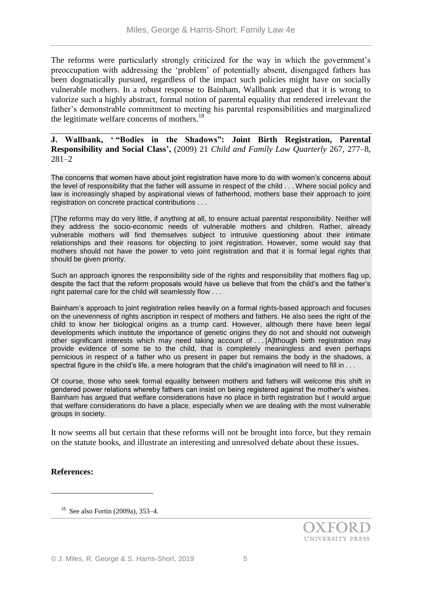The reforms were particularly strongly criticized for the way in which the government's preoccupation with addressing the 'problem' of potentially absent, disengaged fathers has been dogmatically pursued, regardless of the impact such policies might have on socially vulnerable mothers. In a robust response to Bainham, Wallbank argued that it is wrong to valorize such a highly abstract, formal notion of parental equality that rendered irrelevant the father's demonstrable commitment to meeting his parental responsibilities and marginalized the legitimate welfare concerns of mothers.<sup>18</sup>

**J. Wallbank, ' "Bodies in the Shadows": Joint Birth Registration, Parental Responsibility and Social Class',** (2009) 21 *Child and Family Law Quarterly* 267, 277–8, 281–2

The concerns that women have about joint registration have more to do with women's concerns about the level of responsibility that the father will assume in respect of the child . . . Where social policy and law is increasingly shaped by aspirational views of fatherhood, mothers base their approach to joint registration on concrete practical contributions . . .

[T]he reforms may do very little, if anything at all, to ensure actual parental responsibility. Neither will they address the socio-economic needs of vulnerable mothers and children. Rather, already vulnerable mothers will find themselves subject to intrusive questioning about their intimate relationships and their reasons for objecting to joint registration. However, some would say that mothers should not have the power to veto joint registration and that it is formal legal rights that should be given priority.

Such an approach ignores the responsibility side of the rights and responsibility that mothers flag up, despite the fact that the reform proposals would have us believe that from the child's and the father's right paternal care for the child will seamlessly flow . . .

Bainham's approach to joint registration relies heavily on a formal rights-based approach and focuses on the unevenness of rights ascription in respect of mothers and fathers. He also sees the right of the child to know her biological origins as a trump card. However, although there have been legal developments which institute the importance of genetic origins they do not and should not outweigh other significant interests which may need taking account of . . . [A]lthough birth registration may provide evidence of some tie to the child, that is completely meaningless and even perhaps pernicious in respect of a father who us present in paper but remains the body in the shadows, a spectral figure in the child's life, a mere hologram that the child's imagination will need to fill in . . .

Of course, those who seek formal equality between mothers and fathers will welcome this shift in gendered power relations whereby fathers can insist on being registered against the mother's wishes. Bainham has argued that welfare considerations have no place in birth registration but I would argue that welfare considerations do have a place, especially when we are dealing with the most vulnerable groups in society.

It now seems all but certain that these reforms will not be brought into force, but they remain on the statute books, and illustrate an interesting and unresolved debate about these issues.

## **References:**

1

<sup>18</sup> See also Fortin (2009a), 353–4.